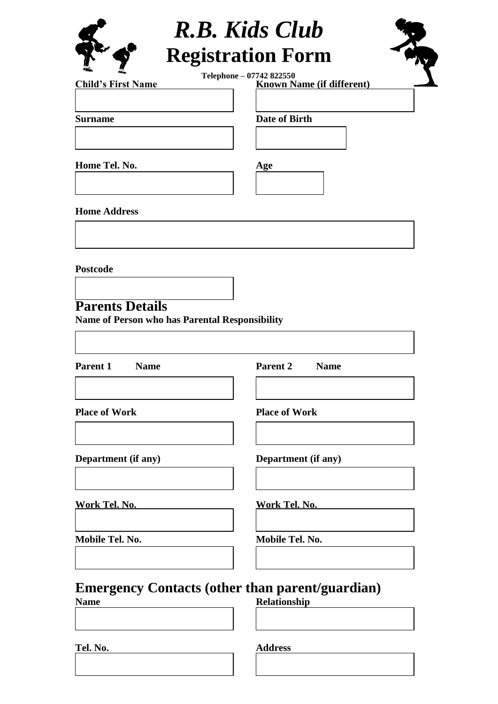

# *R.B. Kids Club* **Registration Form**

TAY.

**Child's First Name Known Name (if different) Telephone – 07742 822550**

**Surname Date of Birth** 

**Home Tel. No. Age**

**Home Address**

**Postcode** 

**Parents Details**

**Name of Person who has Parental Responsibility**

**Parent 1 Name Parent 2 Name**

**Place of Work Place of Work**

**Department (if any) Department (if any)**

**Work Tel. No. Work Tel. No.**

**Mobile Tel. No. Mobile Tel. No.**

**Emergency Contacts (other than parent/guardian) Name Relationship**

**Tel. No. Address**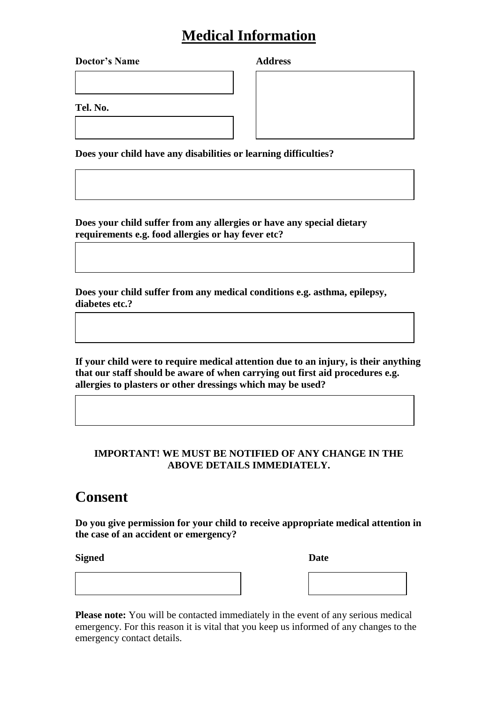## **Medical Information**

**Doctor's Name Address**

**Tel. No.**

**Does your child have any disabilities or learning difficulties?**

**Does your child suffer from any allergies or have any special dietary requirements e.g. food allergies or hay fever etc?**

**Does your child suffer from any medical conditions e.g. asthma, epilepsy, diabetes etc.?**

**If your child were to require medical attention due to an injury, is their anything that our staff should be aware of when carrying out first aid procedures e.g. allergies to plasters or other dressings which may be used?**

#### **IMPORTANT! WE MUST BE NOTIFIED OF ANY CHANGE IN THE ABOVE DETAILS IMMEDIATELY.**

### **Consent**

**Do you give permission for your child to receive appropriate medical attention in the case of an accident or emergency?** 

**Signed** Date

| ,我们也不会有一个人的事情。""我们的人们,我们也不会有一个人的人,我们也不会有一个人的人,我们也不会有一个人的人,我们也不会有一个人的人,我们也不会有一个人的<br>第一百一十一章 我们的人,我们的人们的人们,我们的人们的人们的人们,我们的人们的人们的人们,我们的人们的人们,我们的人们的人们,我们的人们的人们,我们的人们的人 |  |  |
|----------------------------------------------------------------------------------------------------------------------------------------------------------------------|--|--|
|                                                                                                                                                                      |  |  |
|                                                                                                                                                                      |  |  |
|                                                                                                                                                                      |  |  |
|                                                                                                                                                                      |  |  |
|                                                                                                                                                                      |  |  |
|                                                                                                                                                                      |  |  |
|                                                                                                                                                                      |  |  |
|                                                                                                                                                                      |  |  |

**Please note:** You will be contacted immediately in the event of any serious medical emergency. For this reason it is vital that you keep us informed of any changes to the emergency contact details.